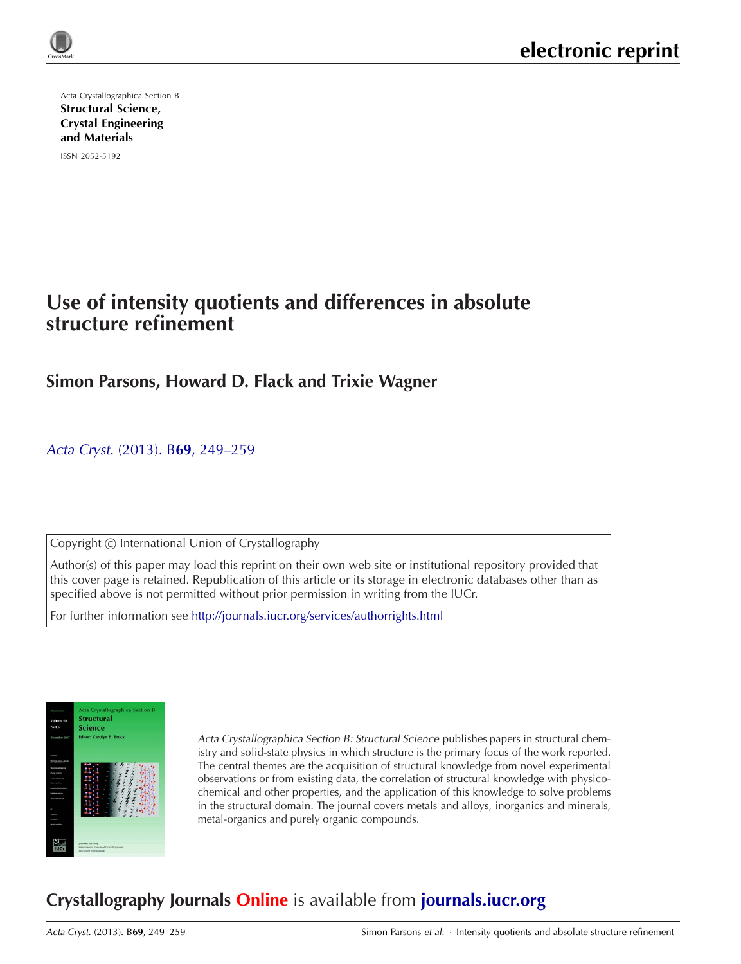

Acta Crystallographica Section B Structural Science, [Crystal Engineering](http://journals.iucr.org/b/) and Materials

ISSN 2052-5192

# **Use of intensity quotients and differences in absolute structure refinement**

## **Simon Parsons, Howard D. Flack and Trixie Wagner**

Acta Cryst. (2013). B**69**[, 249–259](http://dx.doi.org/10.1107/S2052519213010014)

Copyright © International Union of Crystallography

Author(s) of this paper may load this reprint on their own web site or institutional repository provided that this cover page is retained. Republication of this article or its storage in electronic databases other than as specified above is not permitted without prior permission in writing from the IUCr.

For further information see <http://journals.iucr.org/services/authorrights.html>



Acta Crystallographica Section B: Structural Science publishes papers in structural chemistry and solid-state physics in which structure is the primary focus of the work reported. The central themes are the acquisition of structural knowledge from novel experimental observations or from existing data, the correlation of structural knowledge with physicochemical and other properties, and the application of this knowledge to solve problems in the structural domain. The journal covers metals and alloys, inorganics and minerals, metal-organics and purely organic compounds.

# **Crystallography Journals Online** is available from **[journals.iucr.org](http://journals.iucr.org)**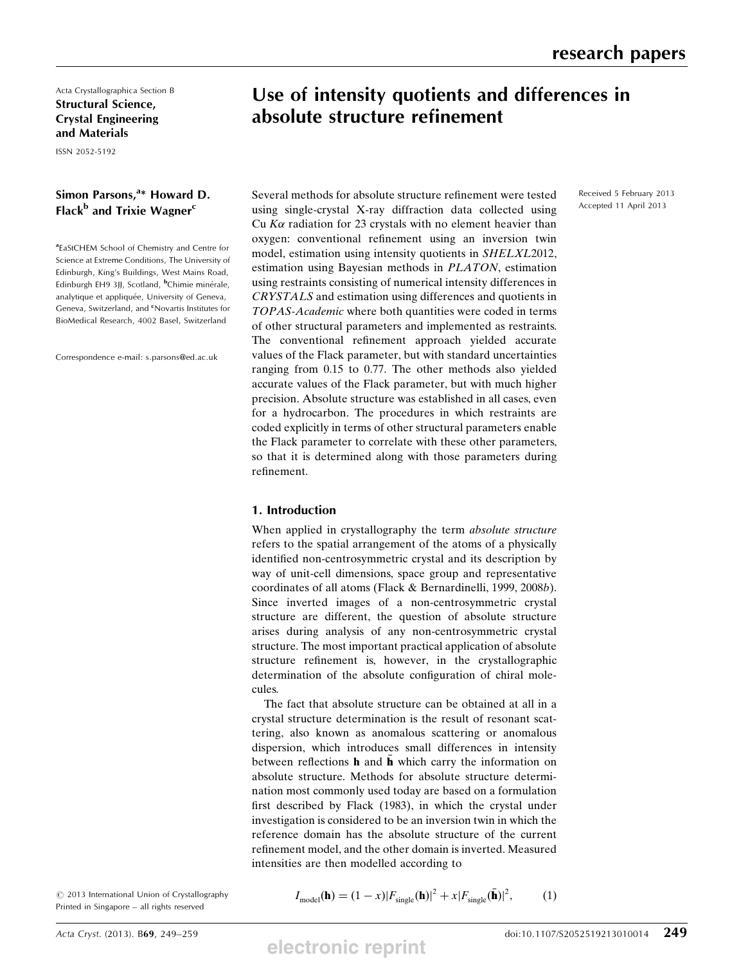Acta Crystallographica Section B Structural Science, Crystal Engineering and Materials

ISSN 2052-5192

## Simon Parsons,<sup>a\*</sup> Howard D. Flack<sup>b</sup> and Trixie Wagner<sup>c</sup>

aEaStCHEM School of Chemistry and Centre for Science at Extreme Conditions, The University of Edinburgh, King's Buildings, West Mains Road, Edinburgh EH9 3JJ, Scotland, <sup>b</sup>Chimie minérale, analytique et appliquée, University of Geneva, Geneva, Switzerland, and <sup>c</sup>Novartis Institutes for BioMedical Research, 4002 Basel, Switzerland

Correspondence e-mail: s.parsons@ed.ac.uk

## Use of intensity quotients and differences in absolute structure refinement

Received 5 February 2013 Accepted 11 April 2013

Several methods for absolute structure refinement were tested using single-crystal X-ray diffraction data collected using Cu  $K\alpha$  radiation for 23 crystals with no element heavier than oxygen: conventional refinement using an inversion twin model, estimation using intensity quotients in SHELXL2012, estimation using Bayesian methods in PLATON, estimation using restraints consisting of numerical intensity differences in CRYSTALS and estimation using differences and quotients in TOPAS-Academic where both quantities were coded in terms of other structural parameters and implemented as restraints. The conventional refinement approach yielded accurate values of the Flack parameter, but with standard uncertainties ranging from 0.15 to 0.77. The other methods also yielded accurate values of the Flack parameter, but with much higher precision. Absolute structure was established in all cases, even for a hydrocarbon. The procedures in which restraints are coded explicitly in terms of other structural parameters enable the Flack parameter to correlate with these other parameters, so that it is determined along with those parameters during refinement.

## 1. Introduction

When applied in crystallography the term *absolute structure* refers to the spatial arrangement of the atoms of a physically identified non-centrosymmetric crystal and its description by way of unit-cell dimensions, space group and representative coordinates of all atoms (Flack & Bernardinelli, 1999, 2008b). Since inverted images of a non-centrosymmetric crystal structure are different, the question of absolute structure arises during analysis of any non-centrosymmetric crystal structure. The most important practical application of absolute structure refinement is, however, in the crystallographic determination of the absolute configuration of chiral molecules.

The fact that absolute structure can be obtained at all in a crystal structure determination is the result of resonant scattering, also known as anomalous scattering or anomalous dispersion, which introduces small differences in intensity between reflections  $\bf{h}$  and  $\bf{\bar{h}}$  which carry the information on absolute structure. Methods for absolute structure determination most commonly used today are based on a formulation first described by Flack (1983), in which the crystal under investigation is considered to be an inversion twin in which the reference domain has the absolute structure of the current refinement model, and the other domain is inverted. Measured intensities are then modelled according to

 $\circ$  2013 International Union of Crystallography Printed in Singapore – all rights reserved

$$
I_{\text{model}}(\mathbf{h}) = (1 - x)|F_{\text{single}}(\mathbf{h})|^2 + x|F_{\text{single}}(\bar{\mathbf{h}})|^2, \tag{1}
$$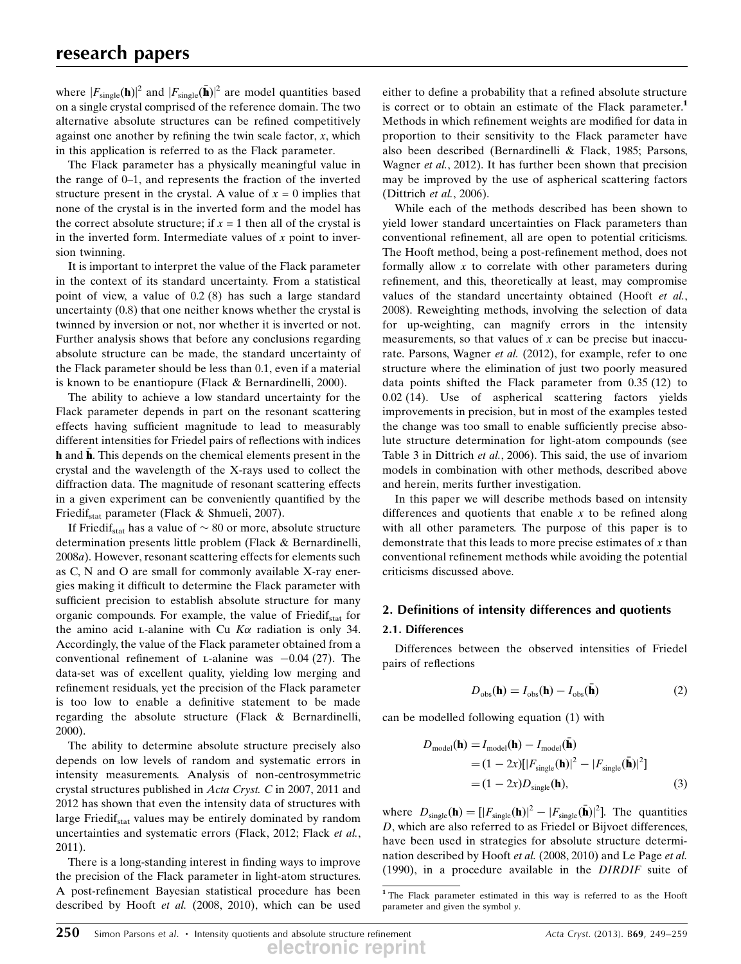where  $|F_{\text{single}}(\mathbf{h})|^2$  and  $|F_{\text{single}}(\bar{\mathbf{h}})|^2$  are model quantities based on a single crystal comprised of the reference domain. The two alternative absolute structures can be refined competitively against one another by refining the twin scale factor,  $x$ , which in this application is referred to as the Flack parameter.

The Flack parameter has a physically meaningful value in the range of 0–1, and represents the fraction of the inverted structure present in the crystal. A value of  $x = 0$  implies that none of the crystal is in the inverted form and the model has the correct absolute structure; if  $x = 1$  then all of the crystal is in the inverted form. Intermediate values of  $x$  point to inversion twinning.

It is important to interpret the value of the Flack parameter in the context of its standard uncertainty. From a statistical point of view, a value of 0.2 (8) has such a large standard uncertainty (0.8) that one neither knows whether the crystal is twinned by inversion or not, nor whether it is inverted or not. Further analysis shows that before any conclusions regarding absolute structure can be made, the standard uncertainty of the Flack parameter should be less than 0.1, even if a material is known to be enantiopure (Flack & Bernardinelli, 2000).

The ability to achieve a low standard uncertainty for the Flack parameter depends in part on the resonant scattering effects having sufficient magnitude to lead to measurably different intensities for Friedel pairs of reflections with indices h and  $\bar{\mathbf{h}}$ . This depends on the chemical elements present in the crystal and the wavelength of the X-rays used to collect the diffraction data. The magnitude of resonant scattering effects in a given experiment can be conveniently quantified by the Friedif<sub>stat</sub> parameter (Flack & Shmueli, 2007).

If Friedif<sub>stat</sub> has a value of  $\sim 80$  or more, absolute structure determination presents little problem (Flack & Bernardinelli, 2008a). However, resonant scattering effects for elements such as C, N and O are small for commonly available X-ray energies making it difficult to determine the Flack parameter with sufficient precision to establish absolute structure for many organic compounds. For example, the value of Friedif<sub>stat</sub> for the amino acid *L*-alanine with Cu  $K\alpha$  radiation is only 34. Accordingly, the value of the Flack parameter obtained from a conventional refinement of L-alanine was  $-0.04$  (27). The data-set was of excellent quality vielding low merging and data-set was of excellent quality, yielding low merging and refinement residuals, yet the precision of the Flack parameter is too low to enable a definitive statement to be made regarding the absolute structure (Flack & Bernardinelli, 2000).

The ability to determine absolute structure precisely also depends on low levels of random and systematic errors in intensity measurements. Analysis of non-centrosymmetric crystal structures published in Acta Cryst. C in 2007, 2011 and 2012 has shown that even the intensity data of structures with large Friedif<sub>stat</sub> values may be entirely dominated by random uncertainties and systematic errors (Flack, 2012; Flack et al., 2011).

There is a long-standing interest in finding ways to improve the precision of the Flack parameter in light-atom structures. A post-refinement Bayesian statistical procedure has been described by Hooft et al. (2008, 2010), which can be used either to define a probability that a refined absolute structure is correct or to obtain an estimate of the Flack parameter.<sup>1</sup> Methods in which refinement weights are modified for data in proportion to their sensitivity to the Flack parameter have also been described (Bernardinelli & Flack, 1985; Parsons, Wagner et al., 2012). It has further been shown that precision may be improved by the use of aspherical scattering factors (Dittrich et al., 2006).

While each of the methods described has been shown to yield lower standard uncertainties on Flack parameters than conventional refinement, all are open to potential criticisms. The Hooft method, being a post-refinement method, does not formally allow  $x$  to correlate with other parameters during refinement, and this, theoretically at least, may compromise values of the standard uncertainty obtained (Hooft et al., 2008). Reweighting methods, involving the selection of data for up-weighting, can magnify errors in the intensity measurements, so that values of  $x$  can be precise but inaccurate. Parsons, Wagner et al. (2012), for example, refer to one structure where the elimination of just two poorly measured data points shifted the Flack parameter from 0.35 (12) to 0.02 (14). Use of aspherical scattering factors yields improvements in precision, but in most of the examples tested the change was too small to enable sufficiently precise absolute structure determination for light-atom compounds (see Table 3 in Dittrich et al., 2006). This said, the use of invariom models in combination with other methods, described above and herein, merits further investigation.

In this paper we will describe methods based on intensity differences and quotients that enable  $x$  to be refined along with all other parameters. The purpose of this paper is to demonstrate that this leads to more precise estimates of  $x$  than conventional refinement methods while avoiding the potential criticisms discussed above.

## 2. Definitions of intensity differences and quotients

### 2.1. Differences

Differences between the observed intensities of Friedel pairs of reflections

$$
D_{\rm obs}(\mathbf{h}) = I_{\rm obs}(\mathbf{h}) - I_{\rm obs}(\bar{\mathbf{h}})
$$
 (2)

can be modelled following equation (1) with

$$
D_{\text{model}}(\mathbf{h}) = I_{\text{model}}(\mathbf{h}) - I_{\text{model}}(\bar{\mathbf{h}})
$$
  
=  $(1 - 2x)[|F_{\text{single}}(\mathbf{h})|^2 - |F_{\text{single}}(\bar{\mathbf{h}})|^2]$   
=  $(1 - 2x)D_{\text{single}}(\mathbf{h}),$  (3)

where  $D_{single}(\mathbf{h}) = [|F_{single}(\mathbf{h})|^2 - |F_{single}(\mathbf{h})|^2]$ . The quantities <br>*D* which are also referred to as Friedel or Bijvoet differences D, which are also referred to as Friedel or Bijvoet differences, have been used in strategies for absolute structure determination described by Hooft et al. (2008, 2010) and Le Page et al. (1990), in a procedure available in the DIRDIF suite of

<sup>1</sup> The Flack parameter estimated in this way is referred to as the Hooft parameter and given the symbol y.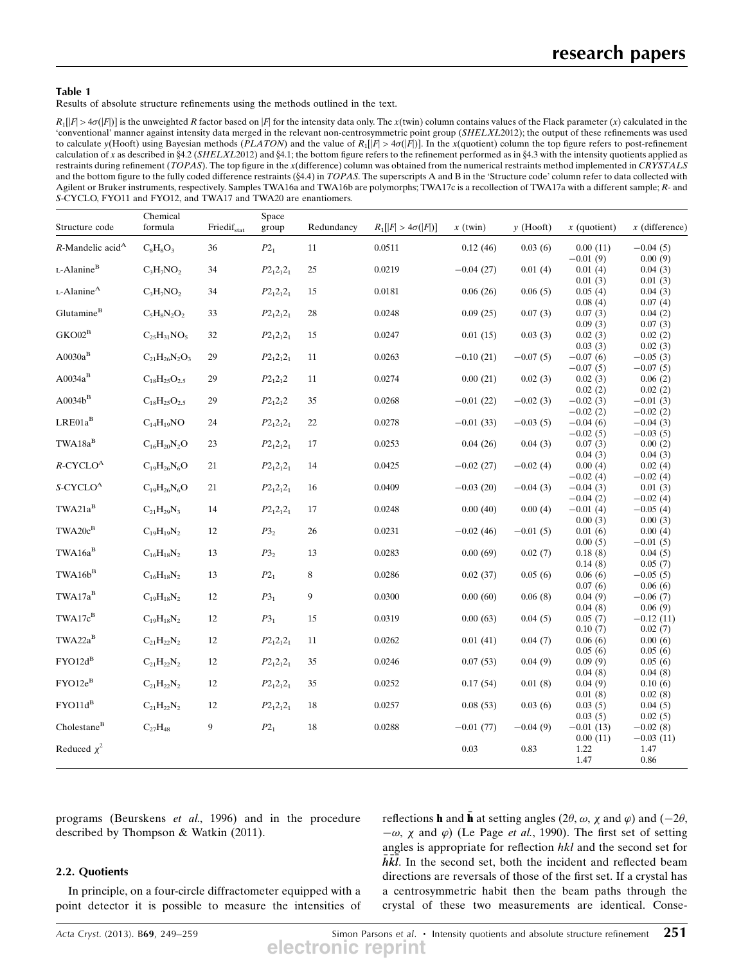#### Table 1

Results of absolute structure refinements using the methods outlined in the text.

 $R_1[|F|>\alpha(1|\epsilon)]$  is the unweighted R factor based on |F| for the intensity data only. The x(twin) column contains values of the Flack parameter (x) calculated in the 'conventional' manner against intensity data merged in the relevant non-centrosymmetric point group (SHELXL2012); the output of these refinements was used to calculate y(Hooft) using Bayesian methods (PLATON) and the value of  $R_1[|F| > 4\sigma(|F|)]$ . In the x(quotient) column the top figure refers to post-refinement calculation of x as described in  $4.2$  (SHELXL2012) and  $4.1$ ; the bottom figure refers to the refinement performed as in  $4.3$  with the intensity quotients applied as restraints during refinement (TOPAS). The top figure in the x(difference) column was obtained from the numerical restraints method implemented in CRYSTALS and the bottom figure to the fully coded difference restraints (§4.4) in TOPAS. The superscripts A and B in the 'Structure code' column refer to data collected with Agilent or Bruker instruments, respectively. Samples TWA16a and TWA16b are polymorphs; TWA17c is a recollection of TWA17a with a different sample; R- and S-CYCLO, FYO11 and FYO12, and TWA17 and TWA20 are enantiomers.

| Structure code                       | Chemical<br>formula     | Friedifstat      | Space<br>group  | Redundancy | $R_1[ F  > 4\sigma( F )]$ | $x$ (twin)  | $y$ (Hooft) | $x$ (quotient)           | $x$ (difference)         |
|--------------------------------------|-------------------------|------------------|-----------------|------------|---------------------------|-------------|-------------|--------------------------|--------------------------|
| $R$ -Mandelic acid <sup>A</sup>      | $C_8H_8O_3$             | 36               | $P2_1$          | 11         | 0.0511                    | 0.12(46)    | 0.03(6)     | 0.00(11)                 | $-0.04(5)$               |
|                                      |                         |                  |                 |            |                           |             |             | $-0.01(9)$               | 0.00(9)                  |
| L-Alanine <sup>B</sup>               | $C_3H_7NO_2$            | 34               | $P2_12_12_1$    | $25\,$     | 0.0219                    | $-0.04(27)$ | 0.01(4)     | 0.01(4)                  | 0.04(3)                  |
| L-Alanine <sup>A</sup>               |                         |                  |                 |            |                           |             |             | 0.01(3)                  | 0.01(3)                  |
|                                      | $C_3H_7NO_2$            | 34               | $P2_12_12_1$    | 15         | 0.0181                    | 0.06(26)    | 0.06(5)     | 0.05(4)<br>0.08(4)       | 0.04(3)<br>0.07(4)       |
| Glutamine <sup>B</sup>               | $C_5H_8N_2O_2$          | 33               | $P2_12_12_1$    | 28         | 0.0248                    | 0.09(25)    | 0.07(3)     | 0.07(3)                  | 0.04(2)                  |
|                                      |                         |                  |                 |            |                           |             |             | 0.09(3)                  | 0.07(3)                  |
| $GKO02^B$                            | $C_{25}H_{31}NO_5$      | 32               | $P2_12_12_1$    | 15         | 0.0247                    | 0.01(15)    | 0.03(3)     | 0.02(3)                  | 0.02(2)                  |
|                                      |                         |                  |                 |            |                           |             |             | 0.03(3)                  | 0.02(3)                  |
| $A0030a^{B}$                         | $C_{21}H_{26}N_2O_3$    | 29               | $P2_12_12_1$    | 11         | 0.0263                    | $-0.10(21)$ | $-0.07(5)$  | $-0.07(6)$               | $-0.05(3)$               |
|                                      |                         |                  |                 |            |                           |             |             | $-0.07(5)$               | $-0.07(5)$               |
| $A0034a^B$                           | $C_{18}H_{25}O_{2.5}$   | 29               | $P2_12_12$      | 11         | 0.0274                    | 0.00(21)    | 0.02(3)     | 0.02(3)                  | 0.06(2)                  |
| $\mathrm{A0034b}^\mathrm{B}$         |                         |                  |                 |            |                           |             |             | 0.02(2)                  | 0.02(2)                  |
|                                      | $C_{18}H_{25}O_{2.5}$   | 29               | $P2_12_12$      | 35         | 0.0268                    | $-0.01(22)$ | $-0.02(3)$  | $-0.02(3)$<br>$-0.02(2)$ | $-0.01(3)$<br>$-0.02(2)$ |
| $LRE01a^B$                           | $C_{14}H_{19}NO$        | 24               | $P2_12_12_1$    | $22\,$     | 0.0278                    | $-0.01(33)$ | $-0.03(5)$  | $-0.04(6)$               | $-0.04(3)$               |
|                                      |                         |                  |                 |            |                           |             |             | $-0.02(5)$               | $-0.03(5)$               |
| $\text{TWA18a}^{\text{B}}$           | $C_{16}H_{20}N_2O$      | 23               | $P2_12_12_1$    | $17\,$     | 0.0253                    | 0.04(26)    | 0.04(3)     | 0.07(3)                  | 0.00(2)                  |
|                                      |                         |                  |                 |            |                           |             |             | 0.04(3)                  | 0.04(3)                  |
| $R$ -CYCLO <sup>A</sup>              | $C_{19}H_{26}N_6O$      | $21\,$           | $P2_12_12_1$    | 14         | 0.0425                    | $-0.02(27)$ | $-0.02(4)$  | 0.00(4)                  | 0.02(4)                  |
|                                      |                         |                  |                 |            |                           |             |             | $-0.02(4)$               | $-0.02(4)$               |
| $S\text{-}\mathrm{CYCLO}^\mathrm{A}$ | $\rm{C}_{19}H_{26}N_6O$ | $21\,$           | $P2_12_12_1$    | 16         | 0.0409                    | $-0.03(20)$ | $-0.04(3)$  | $-0.04(3)$               | 0.01(3)                  |
| $TWA21a^B$                           |                         |                  |                 |            |                           |             |             | $-0.04(2)$               | $-0.02(4)$               |
|                                      | $C_{21}H_{29}N_3$       | 14               | $P2_12_12_1$    | 17         | 0.0248                    | 0.00(40)    | 0.00(4)     | $-0.01(4)$<br>0.00(3)    | $-0.05(4)$<br>0.00(3)    |
| $TWA20c^{B}$                         | $C_{19}H_{19}N_2$       | 12               | P3 <sub>2</sub> | 26         | 0.0231                    | $-0.02(46)$ | $-0.01(5)$  | 0.01(6)                  | 0.00(4)                  |
|                                      |                         |                  |                 |            |                           |             |             | 0.00(5)                  | $-0.01(5)$               |
| $TWA16a^B$                           | $\rm C_{16}H_{18}N_2$   | 13               | P3 <sub>2</sub> | 13         | 0.0283                    | 0.00(69)    | 0.02(7)     | 0.18(8)                  | 0.04(5)                  |
|                                      |                         |                  |                 |            |                           |             |             | 0.14(8)                  | 0.05(7)                  |
| $TWA16b^{B}$                         | $C_{16}H_{18}N_2$       | 13               | $P2_1$          | 8          | 0.0286                    | 0.02(37)    | 0.05(6)     | 0.06(6)                  | $-0.05(5)$               |
|                                      |                         |                  |                 |            |                           |             |             | 0.07(6)                  | 0.06(6)                  |
| $TWA17a^B$                           | $\rm{C_{19}H_{18}N_2}$  | 12               | P3 <sub>1</sub> | 9          | 0.0300                    | 0.00(60)    | 0.06(8)     | 0.04(9)                  | $-0.06(7)$               |
| TWA17c <sup>B</sup>                  | $C_{19}H_{18}N_2$       | 12               | P3 <sub>1</sub> | 15         | 0.0319                    | 0.00(63)    | 0.04(5)     | 0.04(8)<br>0.05(7)       | 0.06(9)                  |
|                                      |                         |                  |                 |            |                           |             |             | 0.10(7)                  | $-0.12(11)$<br>0.02(7)   |
| $TWA22a^B$                           | $\rm{C_{21}H_{22}N_2}$  | 12               | $P2_12_12_1$    | 11         | 0.0262                    | 0.01(41)    | 0.04(7)     | 0.06(6)                  | 0.00(6)                  |
|                                      |                         |                  |                 |            |                           |             |             | 0.05(6)                  | 0.05(6)                  |
| $FYO12d^B$                           | $\rm{C_{21}H_{22}N_2}$  | $12\,$           | $P2_12_12_1$    | 35         | 0.0246                    | 0.07(53)    | 0.04(9)     | 0.09(9)                  | 0.05(6)                  |
|                                      |                         |                  |                 |            |                           |             |             | 0.04(8)                  | 0.04(8)                  |
| $FYO12e^{B}$                         | $\rm{C_{21}H_{22}N_2}$  | 12               | $P2_12_12_1$    | 35         | 0.0252                    | 0.17(54)    | 0.01(8)     | 0.04(9)                  | 0.10(6)                  |
|                                      |                         |                  |                 |            |                           |             |             | 0.01(8)                  | 0.02(8)                  |
| $FYO11d^B$                           | $C_{21}H_{22}N_2$       | 12               | $P2_12_12_1$    | 18         | 0.0257                    | 0.08(53)    | 0.03(6)     | 0.03(5)                  | 0.04(5)                  |
| Cholestance <sup>B</sup>             | $C_{27}H_{48}$          | $\boldsymbol{9}$ | $P2_1$          | 18         | 0.0288                    | $-0.01(77)$ | $-0.04(9)$  | 0.03(5)<br>$-0.01(13)$   | 0.02(5)<br>$-0.02(8)$    |
|                                      |                         |                  |                 |            |                           |             |             | 0.00(11)                 | $-0.03(11)$              |
| Reduced $\chi^2$                     |                         |                  |                 |            |                           | 0.03        | 0.83        | 1.22                     | 1.47                     |
|                                      |                         |                  |                 |            |                           |             |             | 1.47                     | 0.86                     |

programs (Beurskens et al., 1996) and in the procedure described by Thompson & Watkin (2011).

### 2.2. Quotients

In principle, on a four-circle diffractometer equipped with a point detector it is possible to measure the intensities of

reflections **h** and  $\vec{h}$  at setting angles (2 $\theta$ ,  $\omega$ ,  $\chi$  and  $\varphi$ ) and (-2 $\theta$ ,  $-\omega$ ,  $\chi$  and  $\varphi$ ) (Le Page *et al.* 1990). The first set of setting angles is appropriate for reflection hkl and the second set for  $-\omega$ ,  $\chi$  and  $\varphi$ ) (Le Page *et al.*, 1990). The first set of setting  $\overline{h}\overline{k}\overline{l}$ . In the second set, both the incident and reflected beam directions are reversals of those of the first set. If a crystal has a centrosymmetric habit then the beam paths through the crystal of these two measurements are identical. Conse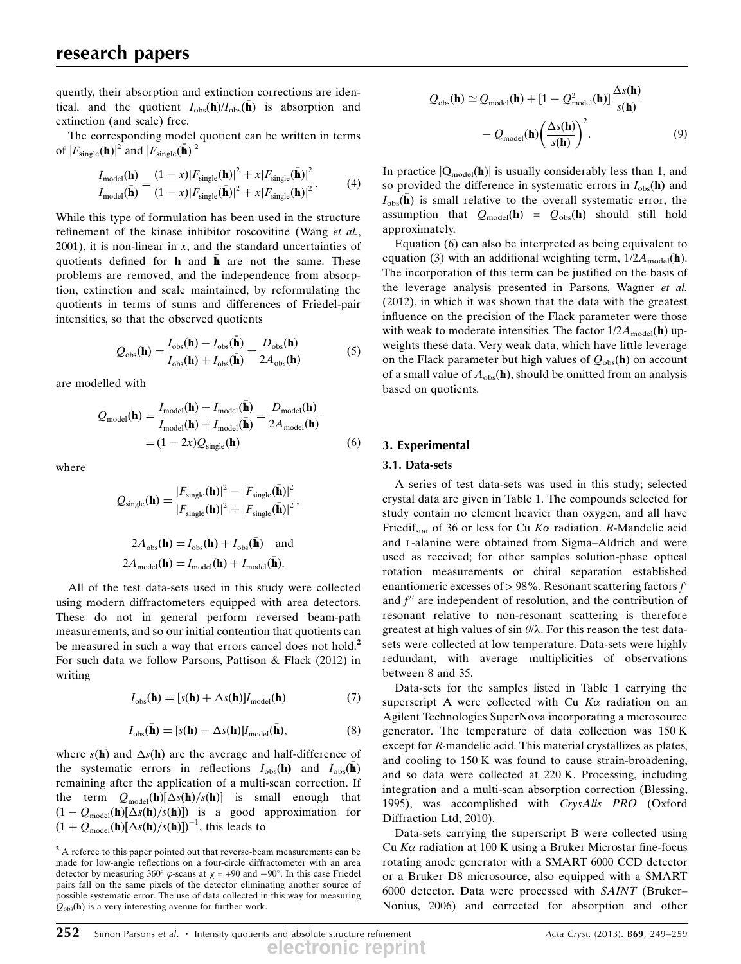quently, their absorption and extinction corrections are identical, and the quotient  $I_{obs}(\mathbf{h})/I_{obs}(\mathbf{\bar{h}})$  is absorption and extinction (and scale) free.

The corresponding model quotient can be written in terms of  $|F_{\text{single}}(\mathbf{h})|^2$  and  $|F_{\text{single}}(\bar{\mathbf{h}})|^2$ 

$$
\frac{I_{\text{model}}(\mathbf{h})}{I_{\text{model}}(\bar{\mathbf{h}})} = \frac{(1-x)|F_{\text{single}}(\mathbf{h})|^2 + x|F_{\text{single}}(\bar{\mathbf{h}})|^2}{(1-x)|F_{\text{single}}(\bar{\mathbf{h}})|^2 + x|F_{\text{single}}(\mathbf{h})|^2}.
$$
(4)

While this type of formulation has been used in the structure refinement of the kinase inhibitor roscovitine (Wang et al.,  $2001$ ), it is non-linear in x, and the standard uncertainties of quotients defined for  $\bf{h}$  and  $\bf{\bar{h}}$  are not the same. These problems are removed, and the independence from absorption, extinction and scale maintained, by reformulating the quotients in terms of sums and differences of Friedel-pair intensities, so that the observed quotients

$$
Q_{\rm obs}(\mathbf{h}) = \frac{I_{\rm obs}(\mathbf{h}) - I_{\rm obs}(\bar{\mathbf{h}})}{I_{\rm obs}(\mathbf{h}) + I_{\rm obs}(\bar{\mathbf{h}})} = \frac{D_{\rm obs}(\mathbf{h})}{2A_{\rm obs}(\mathbf{h})}
$$
(5)

are modelled with

$$
Q_{\text{model}}(\mathbf{h}) = \frac{I_{\text{model}}(\mathbf{h}) - I_{\text{model}}(\bar{\mathbf{h}})}{I_{\text{model}}(\mathbf{h}) + I_{\text{model}}(\bar{\mathbf{h}})} = \frac{D_{\text{model}}(\mathbf{h})}{2A_{\text{model}}(\mathbf{h})}
$$

$$
= (1 - 2x)Q_{\text{single}}(\mathbf{h})
$$
(6)

where

$$
Q_{\text{single}}(\mathbf{h}) = \frac{|F_{\text{single}}(\mathbf{h})|^2 - |F_{\text{single}}(\bar{\mathbf{h}})|^2}{|F_{\text{single}}(\mathbf{h})|^2 + |F_{\text{single}}(\bar{\mathbf{h}})|^2},
$$
  

$$
2A_{\text{obs}}(\mathbf{h}) = I_{\text{obs}}(\mathbf{h}) + I_{\text{obs}}(\bar{\mathbf{h}}) \text{ and}
$$
  

$$
2A_{\text{model}}(\mathbf{h}) = I_{\text{model}}(\mathbf{h}) + I_{\text{model}}(\bar{\mathbf{h}}).
$$

All of the test data-sets used in this study were collected using modern diffractometers equipped with area detectors. These do not in general perform reversed beam-path measurements, and so our initial contention that quotients can be measured in such a way that errors cancel does not hold.<sup>2</sup> For such data we follow Parsons, Pattison & Flack (2012) in writing

$$
I_{\text{obs}}(\mathbf{h}) = [s(\mathbf{h}) + \Delta s(\mathbf{h})]I_{\text{model}}(\mathbf{h})
$$
\n(7)

$$
I_{\text{obs}}(\bar{\mathbf{h}}) = [s(\mathbf{h}) - \Delta s(\mathbf{h})]I_{\text{model}}(\bar{\mathbf{h}}),
$$
\n(8)

where  $s(\mathbf{h})$  and  $\Delta s(\mathbf{h})$  are the average and half-difference of the systematic errors in reflections  $I_{obs}(\mathbf{h})$  and  $I_{obs}(\mathbf{\bar{h}})$ remaining after the application of a multi-scan correction. If the term  $Q_{model}(\mathbf{h})[\Delta s(\mathbf{h})/s(\mathbf{h})]$  is small enough that  $(1 - Q_{\text{model}}(\mathbf{h})[\Delta s(\mathbf{h})/s(\mathbf{h})])$  is a good approximation for<br> $(1 + Q_{\text{model}}(\mathbf{h})[\Delta s(\mathbf{h})/s(\mathbf{h})])^{-1}$  this leads to  $(1 + Q_{\text{model}}(\mathbf{h})[\Delta s(\mathbf{h})/s(\mathbf{h})])^{-1}$ , this leads to

$$
Q_{\text{obs}}(\mathbf{h}) \simeq Q_{\text{model}}(\mathbf{h}) + [1 - Q_{\text{model}}^2(\mathbf{h})] \frac{\Delta s(\mathbf{h})}{s(\mathbf{h})}
$$

$$
- Q_{\text{model}}(\mathbf{h}) \left(\frac{\Delta s(\mathbf{h})}{s(\mathbf{h})}\right)^2.
$$
(9)

In practice  $|Q_{model}(\mathbf{h})|$  is usually considerably less than 1, and so provided the difference in systematic errors in  $I_{obs}(\mathbf{h})$  and  $I_{obs}(\mathbf{\bar{h}})$  is small relative to the overall systematic error, the assumption that  $Q_{model}(\mathbf{h}) = Q_{obs}(\mathbf{h})$  should still hold approximately.

Equation (6) can also be interpreted as being equivalent to equation (3) with an additional weighting term,  $1/2A_{\text{model}}(\mathbf{h})$ . The incorporation of this term can be justified on the basis of the leverage analysis presented in Parsons, Wagner et al. (2012), in which it was shown that the data with the greatest influence on the precision of the Flack parameter were those with weak to moderate intensities. The factor  $1/2A_{\text{model}}(\mathbf{h})$  upweights these data. Very weak data, which have little leverage on the Flack parameter but high values of  $Q_{obs}(\mathbf{h})$  on account of a small value of  $A_{obs}(\mathbf{h})$ , should be omitted from an analysis based on quotients.

## 3. Experimental

#### 3.1. Data-sets

A series of test data-sets was used in this study; selected crystal data are given in Table 1. The compounds selected for study contain no element heavier than oxygen, and all have Friedif<sub>stat</sub> of 36 or less for Cu  $K\alpha$  radiation. R-Mandelic acid and L-alanine were obtained from Sigma–Aldrich and were used as received; for other samples solution-phase optical rotation measurements or chiral separation established enantiomeric excesses of  $> 98\%$ . Resonant scattering factors  $f'$ and  $f''$  are independent of resolution, and the contribution of resonant relative to non-resonant scattering is therefore greatest at high values of sin  $\theta/\lambda$ . For this reason the test datasets were collected at low temperature. Data-sets were highly redundant, with average multiplicities of observations between 8 and 35.

Data-sets for the samples listed in Table 1 carrying the superscript A were collected with Cu  $K\alpha$  radiation on an Agilent Technologies SuperNova incorporating a microsource generator. The temperature of data collection was 150 K except for R-mandelic acid. This material crystallizes as plates, and cooling to 150 K was found to cause strain-broadening, and so data were collected at 220 K. Processing, including integration and a multi-scan absorption correction (Blessing, 1995), was accomplished with CrysAlis PRO (Oxford Diffraction Ltd, 2010).

Data-sets carrying the superscript B were collected using Cu  $K\alpha$  radiation at 100 K using a Bruker Microstar fine-focus rotating anode generator with a SMART 6000 CCD detector or a Bruker D8 microsource, also equipped with a SMART 6000 detector. Data were processed with SAINT (Bruker– Nonius, 2006) and corrected for absorption and other

<sup>&</sup>lt;sup>2</sup> A referee to this paper pointed out that reverse-beam measurements can be made for low-angle reflections on a four-circle diffractometer with an area detector by measuring  $360^{\circ}$   $\varphi$ -scans at  $\chi = +90$  and  $-90^{\circ}$ . In this case Friedel pairs fall on the same pixels of the detector eliminating another source of pairs fall on the same pixels of the detector eliminating another source of possible systematic error. The use of data collected in this way for measuring  $Q_{obs}(\mathbf{h})$  is a very interesting avenue for further work.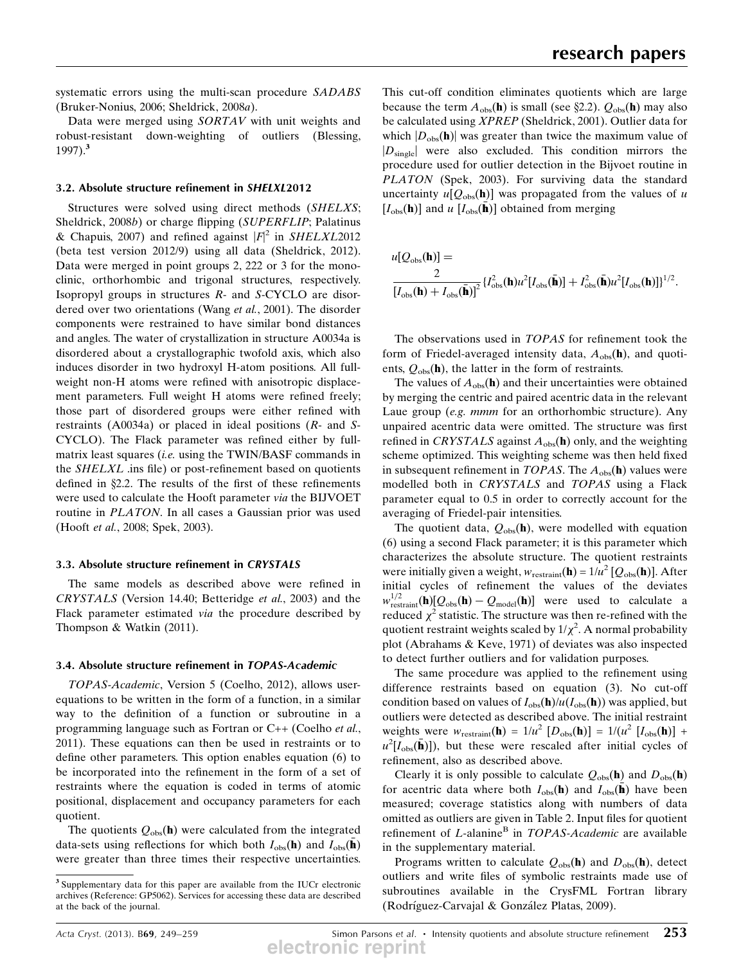systematic errors using the multi-scan procedure SADABS (Bruker-Nonius, 2006; Sheldrick, 2008a).

Data were merged using SORTAV with unit weights and robust-resistant down-weighting of outliers (Blessing, 1997).<sup>3</sup>

#### 3.2. Absolute structure refinement in SHELXL2012

Structures were solved using direct methods (SHELXS; Sheldrick, 2008b) or charge flipping (SUPERFLIP; Palatinus & Chapuis, 2007) and refined against  $|F|^2$  in SHELXL2012 (beta test version 2012/9) using all data (Sheldrick, 2012). Data were merged in point groups 2, 222 or 3 for the monoclinic, orthorhombic and trigonal structures, respectively. Isopropyl groups in structures R- and S-CYCLO are disordered over two orientations (Wang et al., 2001). The disorder components were restrained to have similar bond distances and angles. The water of crystallization in structure A0034a is disordered about a crystallographic twofold axis, which also induces disorder in two hydroxyl H-atom positions. All fullweight non-H atoms were refined with anisotropic displacement parameters. Full weight H atoms were refined freely; those part of disordered groups were either refined with restraints (A0034a) or placed in ideal positions (R- and S-CYCLO). The Flack parameter was refined either by fullmatrix least squares (i.e. using the TWIN/BASF commands in the SHELXL .ins file) or post-refinement based on quotients defined in  $\S2.2$ . The results of the first of these refinements were used to calculate the Hooft parameter via the BIJVOET routine in PLATON. In all cases a Gaussian prior was used (Hooft et al., 2008; Spek, 2003).

#### 3.3. Absolute structure refinement in CRYSTALS

The same models as described above were refined in CRYSTALS (Version 14.40; Betteridge et al., 2003) and the Flack parameter estimated via the procedure described by Thompson & Watkin (2011).

#### 3.4. Absolute structure refinement in TOPAS-Academic

TOPAS-Academic, Version 5 (Coelho, 2012), allows userequations to be written in the form of a function, in a similar way to the definition of a function or subroutine in a programming language such as Fortran or C++ (Coelho et al., 2011). These equations can then be used in restraints or to define other parameters. This option enables equation (6) to be incorporated into the refinement in the form of a set of restraints where the equation is coded in terms of atomic positional, displacement and occupancy parameters for each quotient.

The quotients  $Q_{obs}(\mathbf{h})$  were calculated from the integrated data-sets using reflections for which both  $I_{obs}(\mathbf{h})$  and  $I_{obs}(\mathbf{\bar{h}})$ were greater than three times their respective uncertainties.

This cut-off condition eliminates quotients which are large because the term  $A_{obs}(\mathbf{h})$  is small (see §2.2).  $Q_{obs}(\mathbf{h})$  may also be calculated using XPREP (Sheldrick, 2001). Outlier data for which  $|D_{obs}(\mathbf{h})|$  was greater than twice the maximum value of  $|D_{\text{single}}|$  were also excluded. This condition mirrors the procedure used for outlier detection in the Bijvoet routine in PLATON (Spek, 2003). For surviving data the standard uncertainty  $u[Q<sub>obs</sub>(h)]$  was propagated from the values of u  $[I_{obs}(\mathbf{h})]$  and u  $[I_{obs}(\mathbf{h})]$  obtained from merging

$$
u[Q_{\rm obs}(\mathbf{h})] =
$$
  

$$
\frac{2}{[I_{\rm obs}(\mathbf{h}) + I_{\rm obs}(\bar{\mathbf{h}})]^2} \{I_{\rm obs}^2(\mathbf{h})u^2[I_{\rm obs}(\bar{\mathbf{h}})] + I_{\rm obs}^2(\bar{\mathbf{h}})u^2[I_{\rm obs}(\mathbf{h})]\}^{1/2}.
$$

The observations used in TOPAS for refinement took the form of Friedel-averaged intensity data,  $A_{obs}(\mathbf{h})$ , and quotients,  $Q_{obs}(\mathbf{h})$ , the latter in the form of restraints.

The values of  $A_{obs}$ (h) and their uncertainties were obtained by merging the centric and paired acentric data in the relevant Laue group (e.g. mmm for an orthorhombic structure). Any unpaired acentric data were omitted. The structure was first refined in CRYSTALS against  $A_{obs}(\mathbf{h})$  only, and the weighting scheme optimized. This weighting scheme was then held fixed in subsequent refinement in TOPAS. The  $A_{obs}$ (h) values were modelled both in CRYSTALS and TOPAS using a Flack parameter equal to 0.5 in order to correctly account for the averaging of Friedel-pair intensities.

The quotient data,  $Q_{obs}(\mathbf{h})$ , were modelled with equation (6) using a second Flack parameter; it is this parameter which characterizes the absolute structure. The quotient restraints were initially given a weight,  $w_{\text{restraint}}(\mathbf{h}) = 1/u^2 [Q_{\text{obs}}(\mathbf{h})]$ . After initial cycles of refinement the values of the deviates  $w_{\text{restriction}}^{1/2}(\mathbf{h})[Q_{\text{obs}}(\mathbf{h}) - Q_{\text{model}}(\mathbf{h})]$  were used to calculate a reduced  $\mathbf{v}^2$  statistic. The structure was then re-refined with the reduced  $\chi^2$  statistic. The structure was then re-refined with the quotient restraint weights scaled by  $1/\chi^2$ . A normal probability plot (Abrahams & Keve, 1971) of deviates was also inspected to detect further outliers and for validation purposes.

The same procedure was applied to the refinement using difference restraints based on equation (3). No cut-off condition based on values of  $I_{obs}(\mathbf{h})/u(I_{obs}(\mathbf{h}))$  was applied, but outliers were detected as described above. The initial restraint weights were  $w_{\text{restraint}}(\mathbf{h}) = 1/u^2 [D_{\text{obs}}(\mathbf{h})] = 1/(u^2 [I_{\text{obs}}(\mathbf{h})] +$  $u^2[I_{obs}(\bar{\mathbf{h}})]$ , but these were rescaled after initial cycles of refinement, also as described above.

Clearly it is only possible to calculate  $Q_{obs}(\mathbf{h})$  and  $D_{obs}(\mathbf{h})$ for acentric data where both  $I_{obs}(\mathbf{h})$  and  $I_{obs}(\mathbf{h})$  have been measured; coverage statistics along with numbers of data omitted as outliers are given in Table 2. Input files for quotient refinement of  $L$ -alanine<sup>B</sup> in  $TOPAS$ -Academic are available in the supplementary material.

Programs written to calculate  $Q_{obs}(\mathbf{h})$  and  $D_{obs}(\mathbf{h})$ , detect outliers and write files of symbolic restraints made use of subroutines available in the CrysFML Fortran library (Rodríguez-Carvajal & González Platas, 2009).

<sup>&</sup>lt;sup>3</sup> Supplementary data for this paper are available from the IUCr electronic archives (Reference: GP5062). Services for accessing these data are described at the back of the journal.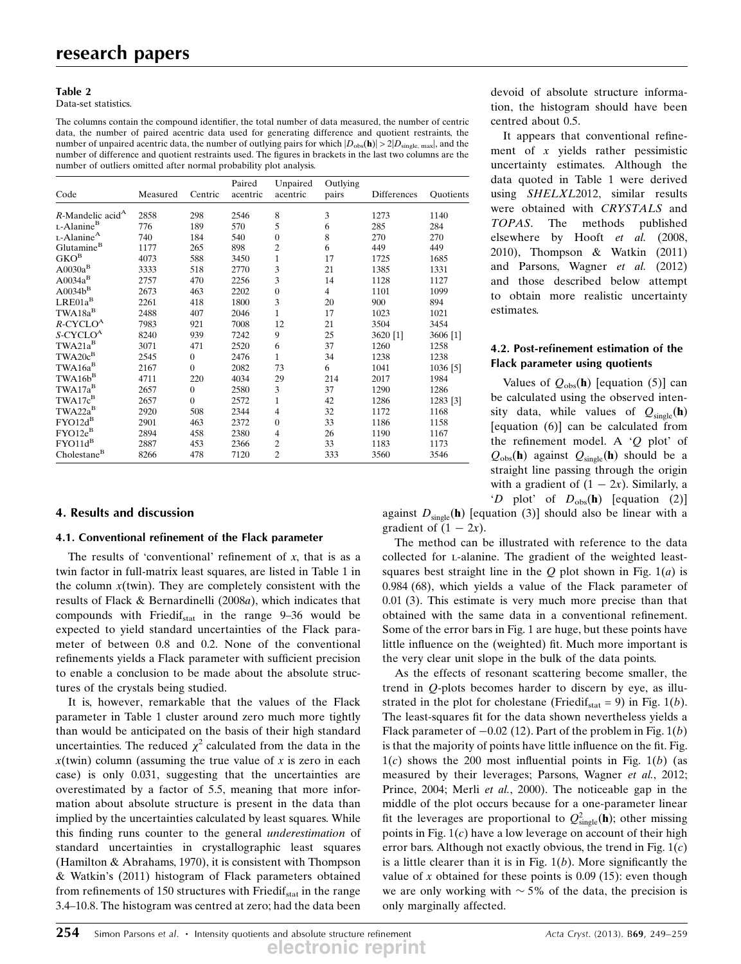#### Table 2

Data-set statistics.

The columns contain the compound identifier, the total number of data measured, the number of centric data, the number of paired acentric data used for generating difference and quotient restraints, the number of unpaired acentric data, the number of outlying pairs for which  $|D_{obs}(\mathbf{h})| > 2|D_{single, max}|$ , and the number of difference and quotient restraints used. The figures in brackets in the last two columns are the number of outliers omitted after normal probability plot analysis.

| Code                                    | Measured | Centric        | Paired<br>acentric | Unpaired<br>acentric | Outlying<br>pairs | Differences | <b>Quotients</b> |
|-----------------------------------------|----------|----------------|--------------------|----------------------|-------------------|-------------|------------------|
|                                         |          |                |                    |                      |                   |             |                  |
| $R$ -Mandelic acid <sup>A</sup>         | 2858     | 298            | 2546               | 8                    | 3                 | 1273        | 1140             |
| L-Alanine <sup>B</sup>                  | 776      | 189            | 570                | 5                    | 6                 | 285         | 284              |
| $L$ -Alanine <sup>A</sup>               | 740      | 184            | 540                | $\overline{0}$       | 8                 | 270         | 270              |
| Glutamine <sup>B</sup>                  | 1177     | 265            | 898                | $\overline{c}$       | 6                 | 449         | 449              |
| ${\rm GKO}^{\scriptscriptstyle{\rm B}}$ | 4073     | 588            | 3450               | $\mathbf{1}$         | 17                | 1725        | 1685             |
| $\mbox{A}0030a^{\mbox{\scriptsize B}}$  | 3333     | 518            | 2770               | 3                    | 21                | 1385        | 1331             |
| $A0034a^B$                              | 2757     | 470            | 2256               | 3                    | 14                | 1128        | 1127             |
| $A0034b^{B}$                            | 2673     | 463            | 2202               | $\overline{0}$       | $\overline{4}$    | 1101        | 1099             |
| $LRE01a^B$                              | 2261     | 418            | 1800               | 3                    | 20                | 900         | 894              |
| $TWA18a^B$                              | 2488     | 407            | 2046               | $\mathbf{1}$         | 17                | 1023        | 1021             |
| $R$ -CYCLO <sup>A</sup>                 | 7983     | 921            | 7008               | 12                   | 21                | 3504        | 3454             |
| S-CYCLO <sup>A</sup>                    | 8240     | 939            | 7242               | 9                    | 25                | 3620 [1]    | 3606 [1]         |
| TWA21a <sup>B</sup>                     | 3071     | 471            | 2520               | 6                    | 37                | 1260        | 1258             |
| TWA20c <sup>B</sup>                     | 2545     | $\Omega$       | 2476               | 1                    | 34                | 1238        | 1238             |
| TWA16a <sup>B</sup>                     | 2167     | $\overline{0}$ | 2082               | 73                   | 6                 | 1041        | 1036 [5]         |
| $TWA16b^B$                              | 4711     | 220            | 4034               | 29                   | 214               | 2017        | 1984             |
| TWA17a <sup>B</sup>                     | 2657     | $\mathbf{0}$   | 2580               | 3                    | 37                | 1290        | 1286             |
| TWA17c <sup>B</sup>                     | 2657     | $\theta$       | 2572               | $\mathbf{1}$         | 42                | 1286        | 1283 [3]         |
| $TWA22a^{B}$                            | 2920     | 508            | 2344               | 4                    | 32                | 1172        | 1168             |
| $FYO12d^B$                              | 2901     | 463            | 2372               | $\overline{0}$       | 33                | 1186        | 1158             |
| $FYO12e^{B}$                            | 2894     | 458            | 2380               | 4                    | 26                | 1190        | 1167             |
| $FYO11d^B$                              | 2887     | 453            | 2366               | $\overline{c}$       | 33                | 1183        | 1173             |
| Cholestane <sup>B</sup>                 | 8266     | 478            | 7120               | $\overline{c}$       | 333               | 3560        | 3546             |

## 4. Results and discussion

#### 4.1. Conventional refinement of the Flack parameter

The results of 'conventional' refinement of  $x$ , that is as a twin factor in full-matrix least squares, are listed in Table 1 in the column  $x$ (twin). They are completely consistent with the results of Flack & Bernardinelli (2008a), which indicates that compounds with Friedi $f_{\text{stat}}$  in the range 9-36 would be expected to yield standard uncertainties of the Flack parameter of between 0.8 and 0.2. None of the conventional refinements yields a Flack parameter with sufficient precision to enable a conclusion to be made about the absolute structures of the crystals being studied.

It is, however, remarkable that the values of the Flack parameter in Table 1 cluster around zero much more tightly than would be anticipated on the basis of their high standard uncertainties. The reduced  $\chi^2$  calculated from the data in the  $x(twin)$  column (assuming the true value of x is zero in each case) is only 0.031, suggesting that the uncertainties are overestimated by a factor of 5.5, meaning that more information about absolute structure is present in the data than implied by the uncertainties calculated by least squares. While this finding runs counter to the general underestimation of standard uncertainties in crystallographic least squares (Hamilton & Abrahams, 1970), it is consistent with Thompson & Watkin's (2011) histogram of Flack parameters obtained from refinements of 150 structures with Friedif<sub>stat</sub> in the range 3.4–10.8. The histogram was centred at zero; had the data been

devoid of absolute structure information, the histogram should have been centred about 0.5.

It appears that conventional refinement of  $x$  yields rather pessimistic uncertainty estimates. Although the data quoted in Table 1 were derived using SHELXL2012, similar results were obtained with CRYSTALS and TOPAS. The methods published elsewhere by Hooft et al. (2008, 2010), Thompson & Watkin (2011) and Parsons, Wagner et al. (2012) and those described below attempt to obtain more realistic uncertainty estimates.

#### 4.2. Post-refinement estimation of the Flack parameter using quotients

Values of  $Q_{obs}(\mathbf{h})$  [equation (5)] can be calculated using the observed intensity data, while values of  $Q_{\text{single}}(\mathbf{h})$ [equation (6)] can be calculated from the refinement model. A 'Q plot' of  $Q_{obs}$ (h) against  $Q_{single}$ (h) should be a straight line passing through the origin with a gradient of  $(1 - 2x)$ . Similarly, a<br>  $(D, \text{plot'})$  of  $(D, \text{th})$  fequation (2) 'D plot' of  $D_{\text{obs}}(\mathbf{h})$  [equation (2)]

against  $D_{single}$ (h) [equation (3)] should also be linear with a gradient of  $(1 - 2x)$ .<br>The method can be

The method can be illustrated with reference to the data collected for l-alanine. The gradient of the weighted leastsquares best straight line in the  $Q$  plot shown in Fig.  $1(a)$  is 0.984 (68), which yields a value of the Flack parameter of 0.01 (3). This estimate is very much more precise than that obtained with the same data in a conventional refinement. Some of the error bars in Fig. 1 are huge, but these points have little influence on the (weighted) fit. Much more important is the very clear unit slope in the bulk of the data points.

As the effects of resonant scattering become smaller, the trend in Q-plots becomes harder to discern by eye, as illustrated in the plot for cholestane (Friedif<sub>stat</sub> = 9) in Fig. 1(*b*). The least-squares fit for the data shown nevertheless yields a Flack parameter of  $-0.02$  (12). Part of the problem in Fig. 1(*b*) is that the majority of points have little influence on the fit. Fig. is that the majority of points have little influence on the fit. Fig.  $1(c)$  shows the 200 most influential points in Fig.  $1(b)$  (as measured by their leverages; Parsons, Wagner et al., 2012; Prince, 2004; Merli et al., 2000). The noticeable gap in the middle of the plot occurs because for a one-parameter linear fit the leverages are proportional to  $Q_{\text{single}}^2(\mathbf{h})$ ; other missing points in Fig. 1(c) have a low leverage on account of their high points in Fig.  $1(c)$  have a low leverage on account of their high error bars. Although not exactly obvious, the trend in Fig.  $1(c)$ is a little clearer than it is in Fig.  $1(b)$ . More significantly the value of x obtained for these points is  $0.09$  (15): even though we are only working with  $\sim$  5% of the data, the precision is only marginally affected.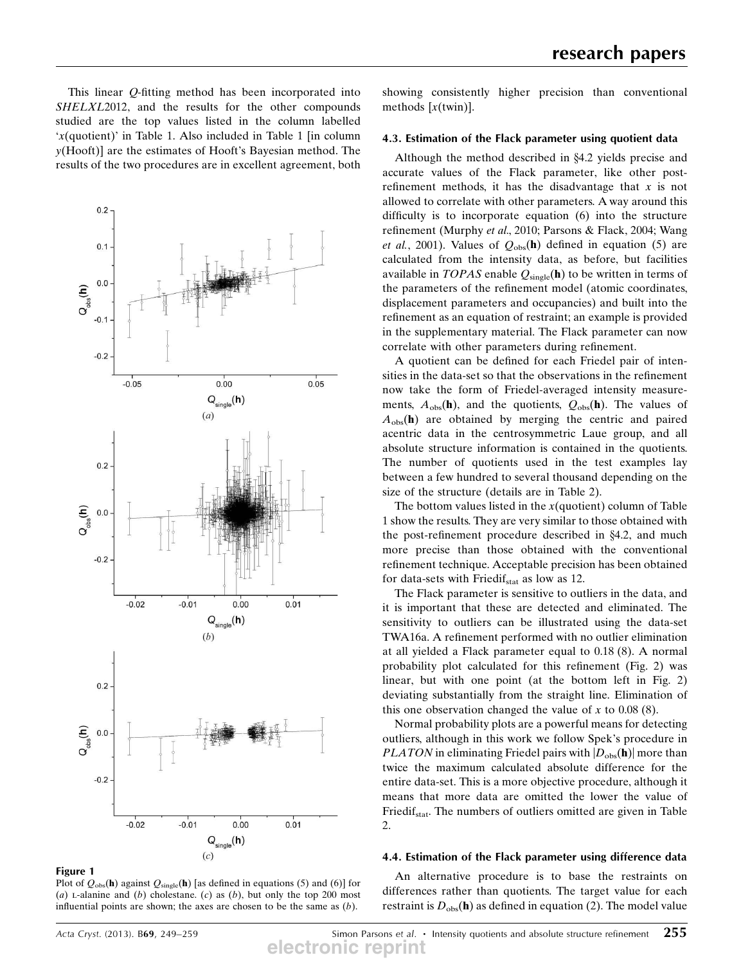This linear Q-fitting method has been incorporated into SHELXL2012, and the results for the other compounds studied are the top values listed in the column labelled 'x(quotient)' in Table 1. Also included in Table 1 [in column y(Hooft)] are the estimates of Hooft's Bayesian method. The results of the two procedures are in excellent agreement, both



Figure 1

Plot of  $Q_{obs}(\mathbf{h})$  against  $Q_{single}(\mathbf{h})$  [as defined in equations (5) and (6)] for (a) L-alanine and (b) cholestane. (c) as (b), but only the top 200 most influential points are shown; the axes are chosen to be the same as  $(b)$ .

showing consistently higher precision than conventional methods  $[x(twin)]$ .

### 4.3. Estimation of the Flack parameter using quotient data

Although the method described in  $§4.2$  yields precise and accurate values of the Flack parameter, like other postrefinement methods, it has the disadvantage that  $x$  is not allowed to correlate with other parameters. A way around this difficulty is to incorporate equation (6) into the structure refinement (Murphy et al., 2010; Parsons & Flack, 2004; Wang et al., 2001). Values of  $Q_{obs}$ (h) defined in equation (5) are calculated from the intensity data, as before, but facilities available in TOPAS enable  $Q_{single}(\mathbf{h})$  to be written in terms of the parameters of the refinement model (atomic coordinates, displacement parameters and occupancies) and built into the refinement as an equation of restraint; an example is provided in the supplementary material. The Flack parameter can now correlate with other parameters during refinement.

A quotient can be defined for each Friedel pair of intensities in the data-set so that the observations in the refinement now take the form of Friedel-averaged intensity measurements,  $A_{obs}(\mathbf{h})$ , and the quotients,  $Q_{obs}(\mathbf{h})$ . The values of  $A<sub>obs</sub>(h)$  are obtained by merging the centric and paired acentric data in the centrosymmetric Laue group, and all absolute structure information is contained in the quotients. The number of quotients used in the test examples lay between a few hundred to several thousand depending on the size of the structure (details are in Table 2).

The bottom values listed in the  $x$ (quotient) column of Table 1 show the results. They are very similar to those obtained with the post-refinement procedure described in  $\S 4.2$ , and much more precise than those obtained with the conventional refinement technique. Acceptable precision has been obtained for data-sets with Friedif<sub>stat</sub> as low as 12.

The Flack parameter is sensitive to outliers in the data, and it is important that these are detected and eliminated. The sensitivity to outliers can be illustrated using the data-set TWA16a. A refinement performed with no outlier elimination at all yielded a Flack parameter equal to 0.18 (8). A normal probability plot calculated for this refinement (Fig. 2) was linear, but with one point (at the bottom left in Fig. 2) deviating substantially from the straight line. Elimination of this one observation changed the value of x to  $0.08(8)$ .

Normal probability plots are a powerful means for detecting outliers, although in this work we follow Spek's procedure in *PLATON* in eliminating Friedel pairs with  $|D_{obs}(\mathbf{h})|$  more than twice the maximum calculated absolute difference for the entire data-set. This is a more objective procedure, although it means that more data are omitted the lower the value of Friedif<sub>stat</sub>. The numbers of outliers omitted are given in Table  $\mathcal{L}$ 

#### 4.4. Estimation of the Flack parameter using difference data

An alternative procedure is to base the restraints on differences rather than quotients. The target value for each restraint is  $D_{obs}$ (h) as defined in equation (2). The model value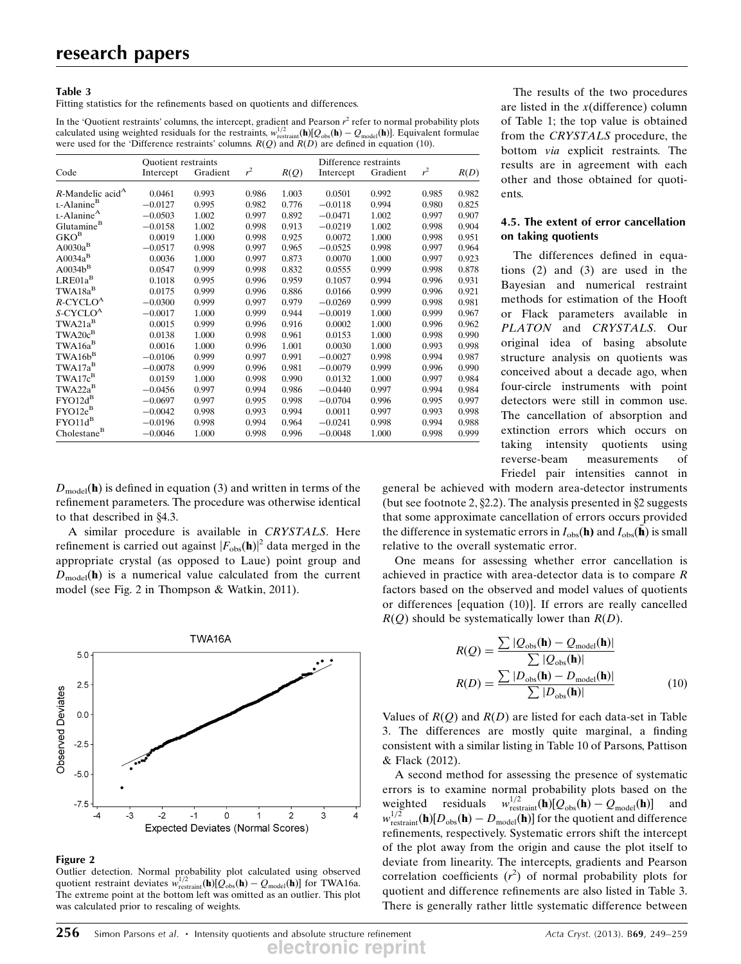#### Table 3

Fitting statistics for the refinements based on quotients and differences.

In the 'Quotient restraints' columns, the intercept, gradient and Pearson  $r^2$  refer to normal probability plots calculated using weighted residuals for the restraints,  $w_{\text{resain}}^{1/2}(\mathbf{h})[Q_{\text{obs}}(\mathbf{h}) - Q_{\text{model}}(\mathbf{h})]$ . Equivalent formulae<br>were used for the 'Difference restraints' columns  $R(D)$  and  $R(D)$  are defined in equation (10 were used for the 'Difference restraints' columns.  $R(Q)$  and  $R(D)$  are defined in equation (10).

|                                 | <b>Quotient</b> restraints |          |                |       | Difference restraints |          |       |       |
|---------------------------------|----------------------------|----------|----------------|-------|-----------------------|----------|-------|-------|
| Code                            | Intercept                  | Gradient | r <sup>2</sup> | R(Q)  | Intercept             | Gradient | $r^2$ | R(D)  |
| $R$ -Mandelic acid <sup>A</sup> | 0.0461                     | 0.993    | 0.986          | 1.003 | 0.0501                | 0.992    | 0.985 | 0.982 |
| L-Alanine <sup>B</sup>          | $-0.0127$                  | 0.995    | 0.982          | 0.776 | $-0.0118$             | 0.994    | 0.980 | 0.825 |
| $L$ -Alanine <sup>A</sup>       | $-0.0503$                  | 1.002    | 0.997          | 0.892 | $-0.0471$             | 1.002    | 0.997 | 0.907 |
| Glutamine <sup>B</sup>          | $-0.0158$                  | 1.002    | 0.998          | 0.913 | $-0.0219$             | 1.002    | 0.998 | 0.904 |
| $GKO^B$                         | 0.0019                     | 1.000    | 0.998          | 0.925 | 0.0072                | 1.000    | 0.998 | 0.951 |
| $A0030a^B$                      | $-0.0517$                  | 0.998    | 0.997          | 0.965 | $-0.0525$             | 0.998    | 0.997 | 0.964 |
| $A0034a^B$                      | 0.0036                     | 1.000    | 0.997          | 0.873 | 0.0070                | 1.000    | 0.997 | 0.923 |
| $A0034b^{B}$                    | 0.0547                     | 0.999    | 0.998          | 0.832 | 0.0555                | 0.999    | 0.998 | 0.878 |
| $LRE01a^B$                      | 0.1018                     | 0.995    | 0.996          | 0.959 | 0.1057                | 0.994    | 0.996 | 0.931 |
| $TWA18a^B$                      | 0.0175                     | 0.999    | 0.996          | 0.886 | 0.0166                | 0.999    | 0.996 | 0.921 |
| $R$ -CYCLO <sup>A</sup>         | $-0.0300$                  | 0.999    | 0.997          | 0.979 | $-0.0269$             | 0.999    | 0.998 | 0.981 |
| S-CYCLO <sup>A</sup>            | $-0.0017$                  | 1.000    | 0.999          | 0.944 | $-0.0019$             | 1.000    | 0.999 | 0.967 |
| $TWA21a^B$                      | 0.0015                     | 0.999    | 0.996          | 0.916 | 0.0002                | 1.000    | 0.996 | 0.962 |
| $TWA20c^B$                      | 0.0138                     | 1.000    | 0.998          | 0.961 | 0.0153                | 1.000    | 0.998 | 0.990 |
| $TWA16a^B$                      | 0.0016                     | 1.000    | 0.996          | 1.001 | 0.0030                | 1.000    | 0.993 | 0.998 |
| $TWA16b^B$                      | $-0.0106$                  | 0.999    | 0.997          | 0.991 | $-0.0027$             | 0.998    | 0.994 | 0.987 |
| $TWA17a^B$                      | $-0.0078$                  | 0.999    | 0.996          | 0.981 | $-0.0079$             | 0.999    | 0.996 | 0.990 |
| TWA17c <sup>B</sup>             | 0.0159                     | 1.000    | 0.998          | 0.990 | 0.0132                | 1.000    | 0.997 | 0.984 |
| $TWA22a^B$                      | $-0.0456$                  | 0.997    | 0.994          | 0.986 | $-0.0440$             | 0.997    | 0.994 | 0.984 |
| $FYO12d^B$                      | $-0.0697$                  | 0.997    | 0.995          | 0.998 | $-0.0704$             | 0.996    | 0.995 | 0.997 |
| $\text{FYO12e}^{\text{B}}$      | $-0.0042$                  | 0.998    | 0.993          | 0.994 | 0.0011                | 0.997    | 0.993 | 0.998 |
| $FYO11d^B$                      | $-0.0196$                  | 0.998    | 0.994          | 0.964 | $-0.0241$             | 0.998    | 0.994 | 0.988 |
| Cholestane <sup>B</sup>         | $-0.0046$                  | 1.000    | 0.998          | 0.996 | $-0.0048$             | 1.000    | 0.998 | 0.999 |

 $D_{\text{model}}(\mathbf{h})$  is defined in equation (3) and written in terms of the refinement parameters. The procedure was otherwise identical to that described in  $§4.3$ .

A similar procedure is available in CRYSTALS. Here refinement is carried out against  $|F_{obs}(\mathbf{h})|^2$  data merged in the appropriate crystal (as opposed to Laue) point group and  $D_{\text{model}}(\mathbf{h})$  is a numerical value calculated from the current model (see Fig. 2 in Thompson & Watkin, 2011).



#### Figure 2

Outlier detection. Normal probability plot calculated using observed quotient restraint deviates  $w_{\text{r-stain}}^{1/2}(\mathbf{h})[Q_{\text{obs}}(\mathbf{h}) - Q_{\text{model}}(\mathbf{h})]$  for TWA16a.<br>The extreme point at the bottom left was omitted as an outlier. This plot The extreme point at the bottom left was omitted as an outlier. This plot was calculated prior to rescaling of weights.

The results of the two procedures are listed in the  $x$ (difference) column of Table 1; the top value is obtained from the CRYSTALS procedure, the bottom via explicit restraints. The results are in agreement with each other and those obtained for quotients.

#### 4.5. The extent of error cancellation on taking quotients

The differences defined in equations (2) and (3) are used in the Bayesian and numerical restraint methods for estimation of the Hooft or Flack parameters available in PLATON and CRYSTALS. Our original idea of basing absolute structure analysis on quotients was conceived about a decade ago, when four-circle instruments with point detectors were still in common use. The cancellation of absorption and extinction errors which occurs on taking intensity quotients using reverse-beam measurements of Friedel pair intensities cannot in

general be achieved with modern area-detector instruments (but see footnote 2,  $\S 2.2$ ). The analysis presented in  $\S 2$  suggests that some approximate cancellation of errors occurs provided the difference in systematic errors in  $I_{obs}(\mathbf{h})$  and  $I_{obs}(\mathbf{h})$  is small relative to the overall systematic error.

One means for assessing whether error cancellation is achieved in practice with area-detector data is to compare R factors based on the observed and model values of quotients or differences [equation (10)]. If errors are really cancelled  $R(Q)$  should be systematically lower than  $R(D)$ .

$$
R(Q) = \frac{\sum |Q_{\text{obs}}(\mathbf{h}) - Q_{\text{model}}(\mathbf{h})|}{\sum |Q_{\text{obs}}(\mathbf{h})|}
$$

$$
R(D) = \frac{\sum |D_{\text{obs}}(\mathbf{h}) - D_{\text{model}}(\mathbf{h})|}{\sum |D_{\text{obs}}(\mathbf{h})|}
$$
(10)

Values of  $R(Q)$  and  $R(D)$  are listed for each data-set in Table 3. The differences are mostly quite marginal, a finding consistent with a similar listing in Table 10 of Parsons, Pattison & Flack (2012).

A second method for assessing the presence of systematic errors is to examine normal probability plots based on the weighted residuals restraint  $(\mathbf{h})[Q_{obs}(\mathbf{h}) - Q_{model}(\mathbf{h})]$  and<br>(**b**) for the quotient and difference  $w_{\text{restriction}}^{1/2}(\mathbf{h})[D_{\text{obs}}(\mathbf{h})-D_{\text{model}}(\mathbf{h})]$  for the quotient and difference<br>refinements, respectively. Systematic errors shift the intercent refinements, respectively. Systematic errors shift the intercept of the plot away from the origin and cause the plot itself to deviate from linearity. The intercepts, gradients and Pearson correlation coefficients  $(r^2)$  of normal probability plots for quotient and difference refinements are also listed in Table 3. There is generally rather little systematic difference between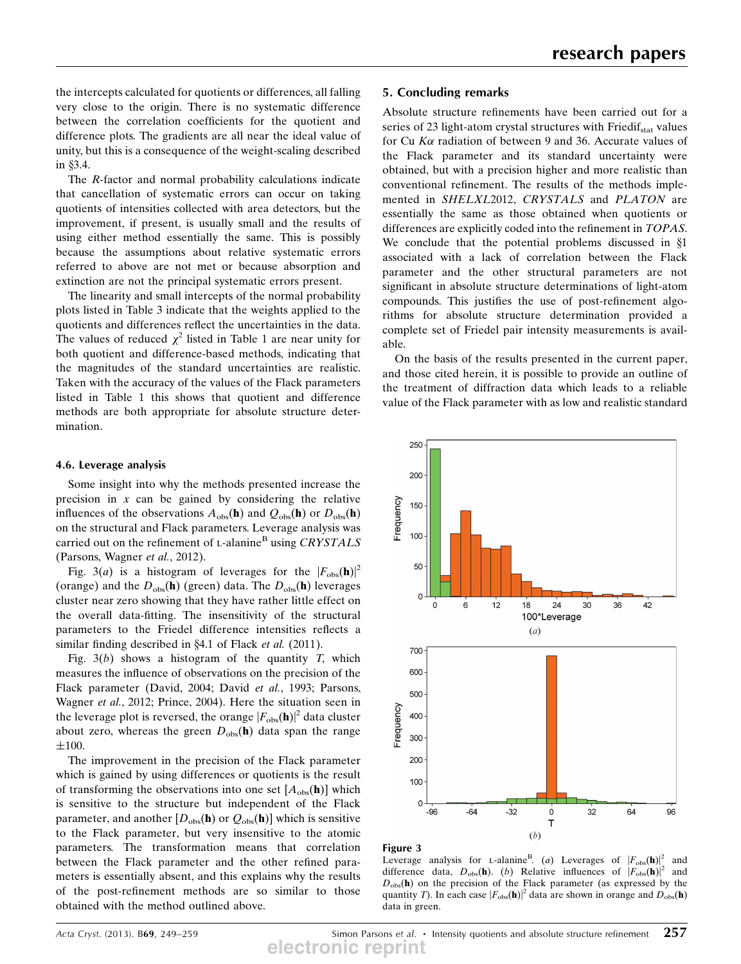the intercepts calculated for quotients or differences, all falling very close to the origin. There is no systematic difference between the correlation coefficients for the quotient and difference plots. The gradients are all near the ideal value of unity, but this is a consequence of the weight-scaling described in §3.4.

The R-factor and normal probability calculations indicate that cancellation of systematic errors can occur on taking quotients of intensities collected with area detectors, but the improvement, if present, is usually small and the results of using either method essentially the same. This is possibly because the assumptions about relative systematic errors referred to above are not met or because absorption and extinction are not the principal systematic errors present.

The linearity and small intercepts of the normal probability plots listed in Table 3 indicate that the weights applied to the quotients and differences reflect the uncertainties in the data. The values of reduced  $\chi^2$  listed in Table 1 are near unity for both quotient and difference-based methods, indicating that the magnitudes of the standard uncertainties are realistic. Taken with the accuracy of the values of the Flack parameters listed in Table 1 this shows that quotient and difference methods are both appropriate for absolute structure determination.

### 4.6. Leverage analysis

Some insight into why the methods presented increase the precision in  $x$  can be gained by considering the relative influences of the observations  $A_{obs}(\mathbf{h})$  and  $Q_{obs}(\mathbf{h})$  or  $D_{obs}(\mathbf{h})$ on the structural and Flack parameters. Leverage analysis was carried out on the refinement of  $L$ -alanine<sup>B</sup> using *CRYSTALS* (Parsons, Wagner et al., 2012).

Fig. 3(a) is a histogram of leverages for the  $|F_{obs}(\mathbf{h})|^2$ (orange) and the  $D_{obs}(\mathbf{h})$  (green) data. The  $D_{obs}(\mathbf{h})$  leverages cluster near zero showing that they have rather little effect on the overall data-fitting. The insensitivity of the structural parameters to the Friedel difference intensities reflects a similar finding described in  $\S 4.1$  of Flack *et al.* (2011).

Fig.  $3(b)$  shows a histogram of the quantity T, which measures the influence of observations on the precision of the Flack parameter (David, 2004; David et al., 1993; Parsons, Wagner et al., 2012; Prince, 2004). Here the situation seen in the leverage plot is reversed, the orange  $|F_{obs}(\mathbf{h})|^2$  data cluster about zero, whereas the green  $D_{obs}(\mathbf{h})$  data span the range  $\pm 100.$ 

The improvement in the precision of the Flack parameter which is gained by using differences or quotients is the result of transforming the observations into one set  $[A_{obs}(\mathbf{h})]$  which is sensitive to the structure but independent of the Flack parameter, and another  $[D_{obs}(\mathbf{h}) \text{ or } Q_{obs}(\mathbf{h})]$  which is sensitive to the Flack parameter, but very insensitive to the atomic parameters. The transformation means that correlation between the Flack parameter and the other refined parameters is essentially absent, and this explains why the results of the post-refinement methods are so similar to those obtained with the method outlined above.

## 5. Concluding remarks

Absolute structure refinements have been carried out for a series of 23 light-atom crystal structures with  $Friedif_{stat}$  values for Cu  $K\alpha$  radiation of between 9 and 36. Accurate values of the Flack parameter and its standard uncertainty were obtained, but with a precision higher and more realistic than conventional refinement. The results of the methods implemented in SHELXL2012, CRYSTALS and PLATON are essentially the same as those obtained when quotients or differences are explicitly coded into the refinement in TOPAS. We conclude that the potential problems discussed in  $§1$ associated with a lack of correlation between the Flack parameter and the other structural parameters are not significant in absolute structure determinations of light-atom compounds. This justifies the use of post-refinement algorithms for absolute structure determination provided a complete set of Friedel pair intensity measurements is available.

On the basis of the results presented in the current paper, and those cited herein, it is possible to provide an outline of the treatment of diffraction data which leads to a reliable value of the Flack parameter with as low and realistic standard



#### Figure 3

Leverage analysis for L-alanine<sup>B</sup>. (a) Leverages of  $|F_{obs}(\mathbf{h})|^2$  and difference data,  $D_{obs}(\mathbf{h})$ . (b) Relative influences of  $|F_{obs}(\mathbf{h})|^2$  and  $D<sub>obs</sub>(h)$  on the precision of the Flack parameter (as expressed by the quantity T). In each case  $|F_{obs}(\mathbf{h})|^2$  data are shown in orange and  $D_{obs}(\mathbf{h})$ data in green.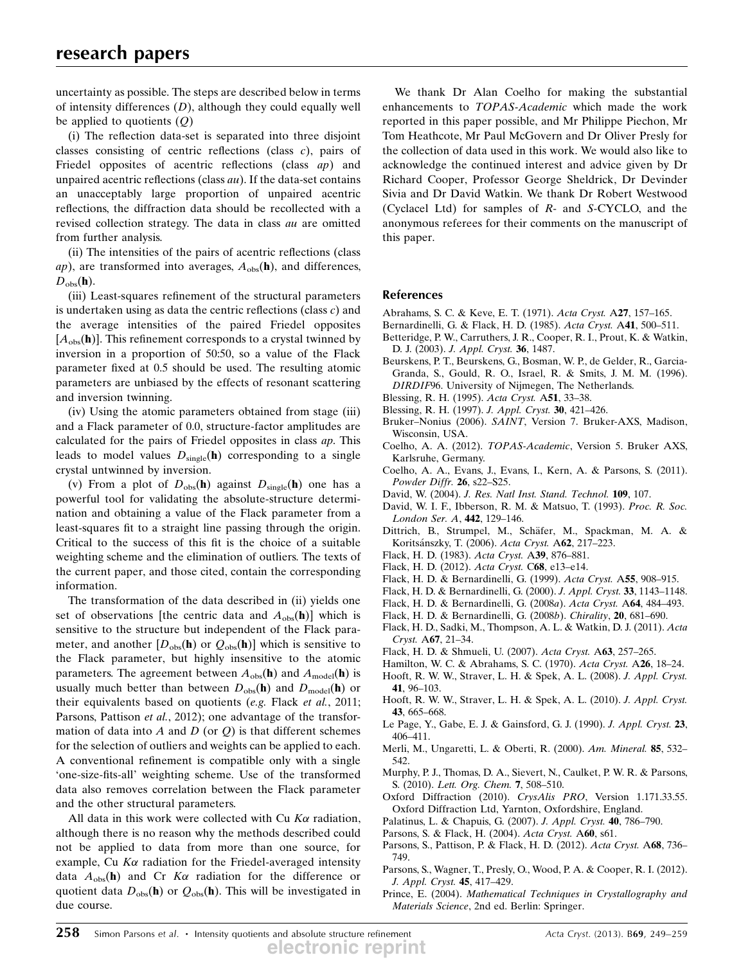uncertainty as possible. The steps are described below in terms of intensity differences  $(D)$ , although they could equally well be applied to quotients  $(Q)$ 

(i) The reflection data-set is separated into three disjoint classes consisting of centric reflections (class c), pairs of Friedel opposites of acentric reflections (class *ap*) and unpaired acentric reflections (class  $au$ ). If the data-set contains an unacceptably large proportion of unpaired acentric reflections, the diffraction data should be recollected with a revised collection strategy. The data in class au are omitted from further analysis.

(ii) The intensities of the pairs of acentric reflections (class ap), are transformed into averages,  $A_{obs}$ (h), and differences,  $D_{\rm obs}(\bf h)$ .

(iii) Least-squares refinement of the structural parameters is undertaken using as data the centric reflections (class c) and the average intensities of the paired Friedel opposites  $[A<sub>obs</sub>(**h**)]$ . This refinement corresponds to a crystal twinned by inversion in a proportion of 50:50, so a value of the Flack parameter fixed at 0.5 should be used. The resulting atomic parameters are unbiased by the effects of resonant scattering and inversion twinning.

(iv) Using the atomic parameters obtained from stage (iii) and a Flack parameter of 0.0, structure-factor amplitudes are calculated for the pairs of Friedel opposites in class ap. This leads to model values  $D_{single}(\mathbf{h})$  corresponding to a single crystal untwinned by inversion.

(v) From a plot of  $D_{obs}(\mathbf{h})$  against  $D_{single}(\mathbf{h})$  one has a powerful tool for validating the absolute-structure determination and obtaining a value of the Flack parameter from a least-squares fit to a straight line passing through the origin. Critical to the success of this fit is the choice of a suitable weighting scheme and the elimination of outliers. The texts of the current paper, and those cited, contain the corresponding information.

The transformation of the data described in (ii) yields one set of observations [the centric data and  $A_{obs}(\mathbf{h})$ ] which is sensitive to the structure but independent of the Flack parameter, and another  $[D_{obs}(\mathbf{h})$  or  $Q_{obs}(\mathbf{h})]$  which is sensitive to the Flack parameter, but highly insensitive to the atomic parameters. The agreement between  $A_{obs}(\mathbf{h})$  and  $A_{model}(\mathbf{h})$  is usually much better than between  $D_{obs}(\mathbf{h})$  and  $D_{model}(\mathbf{h})$  or their equivalents based on quotients (e.g. Flack et al., 2011; Parsons, Pattison et al., 2012); one advantage of the transformation of data into A and D (or  $Q$ ) is that different schemes for the selection of outliers and weights can be applied to each. A conventional refinement is compatible only with a single 'one-size-fits-all' weighting scheme. Use of the transformed data also removes correlation between the Flack parameter and the other structural parameters.

All data in this work were collected with Cu  $K\alpha$  radiation, although there is no reason why the methods described could not be applied to data from more than one source, for example, Cu  $K\alpha$  radiation for the Friedel-averaged intensity data  $A_{obs}$ (h) and Cr  $K\alpha$  radiation for the difference or quotient data  $D_{obs}(\mathbf{h})$  or  $Q_{obs}(\mathbf{h})$ . This will be investigated in due course.

We thank Dr Alan Coelho for making the substantial enhancements to TOPAS-Academic which made the work reported in this paper possible, and Mr Philippe Piechon, Mr Tom Heathcote, Mr Paul McGovern and Dr Oliver Presly for the collection of data used in this work. We would also like to acknowledge the continued interest and advice given by Dr Richard Cooper, Professor George Sheldrick, Dr Devinder Sivia and Dr David Watkin. We thank Dr Robert Westwood (Cyclacel Ltd) for samples of R- and S-CYCLO, and the anonymous referees for their comments on the manuscript of this paper.

## References

- Abrahams, S. C. & Keve, E. T. (1971). Acta Cryst. A27, 157–165.
- Bernardinelli, G. & Flack, H. D. (1985). Acta Cryst. A41, 500–511.
- Betteridge, P. W., Carruthers, J. R., Cooper, R. I., Prout, K. & Watkin, D. J. (2003). J. Appl. Cryst. 36, 1487.
- Beurskens, P. T., Beurskens, G., Bosman, W. P., de Gelder, R., Garcia-Granda, S., Gould, R. O., Israel, R. & Smits, J. M. M. (1996). DIRDIF96. University of Nijmegen, The Netherlands.
- Blessing, R. H. (1995). Acta Cryst. A51, 33–38.
- Blessing, R. H. (1997). J. Appl. Cryst. 30, 421–426.
- Bruker–Nonius (2006). SAINT, Version 7. Bruker-AXS, Madison, Wisconsin, USA.
- Coelho, A. A. (2012). TOPAS-Academic, Version 5. Bruker AXS, Karlsruhe, Germany.
- Coelho, A. A., Evans, J., Evans, I., Kern, A. & Parsons, S. (2011). Powder Diffr. 26, s22–S25.
- David, W. (2004). J. Res. Natl Inst. Stand. Technol. 109, 107.
- David, W. I. F., Ibberson, R. M. & Matsuo, T. (1993). Proc. R. Soc. London Ser. A, 442, 129–146.
- Dittrich, B., Strumpel, M., Schäfer, M., Spackman, M. A. & Koritsánszky, T. (2006). Acta Cryst. A62, 217-223.
- Flack, H. D. (1983). Acta Cryst. A39, 876–881.
- Flack, H. D. (2012). Acta Cryst. C68, e13–e14.
- Flack, H. D. & Bernardinelli, G. (1999). Acta Cryst. A55, 908–915.
- Flack, H. D. & Bernardinelli, G. (2000). J. Appl. Cryst. 33, 1143–1148.
- Flack, H. D. & Bernardinelli, G. (2008a). Acta Cryst. A64, 484–493.
- Flack, H. D. & Bernardinelli, G. (2008b). Chirality, 20, 681–690.
- Flack, H. D., Sadki, M., Thompson, A. L. & Watkin, D. J. (2011). Acta Cryst. A67, 21–34.
- Flack, H. D. & Shmueli, U. (2007). Acta Cryst. A63, 257–265.
- Hamilton, W. C. & Abrahams, S. C. (1970). Acta Cryst. A26, 18–24.
- Hooft, R. W. W., Straver, L. H. & Spek, A. L. (2008). J. Appl. Cryst. 41, 96–103.
- Hooft, R. W. W., Straver, L. H. & Spek, A. L. (2010). J. Appl. Cryst. 43, 665–668.
- Le Page, Y., Gabe, E. J. & Gainsford, G. J. (1990). J. Appl. Cryst. 23, 406–411.
- Merli, M., Ungaretti, L. & Oberti, R. (2000). Am. Mineral. 85, 532– 542.
- Murphy, P. J., Thomas, D. A., Sievert, N., Caulket, P. W. R. & Parsons, S. (2010). Lett. Org. Chem. 7, 508–510.
- Oxford Diffraction (2010). CrysAlis PRO, Version 1.171.33.55. Oxford Diffraction Ltd, Yarnton, Oxfordshire, England.
- Palatinus, L. & Chapuis, G. (2007). J. Appl. Cryst. 40, 786–790.
- Parsons, S. & Flack, H. (2004). Acta Cryst. A60, s61.
- Parsons, S., Pattison, P. & Flack, H. D. (2012). Acta Cryst. A68, 736– 749.
- Parsons, S., Wagner, T., Presly, O., Wood, P. A. & Cooper, R. I. (2012). J. Appl. Cryst. 45, 417–429.
- Prince, E. (2004). Mathematical Techniques in Crystallography and Materials Science, 2nd ed. Berlin: Springer.